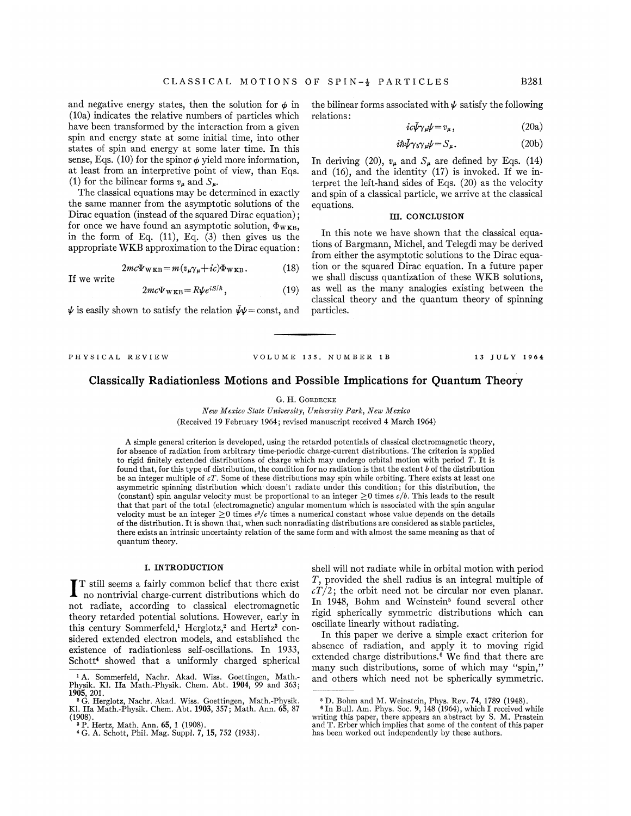and negative energy states, then the solution for  $\phi$  in (10a) indicates the relative numbers of particles which have been transformed by the interaction from a given spin and energy state at some initial time, into other states of spin and energy at some later time. In this sense, Eqs. (10) for the spinor  $\phi$  yield more information, at least from an interpretive point of view, than Eqs. (1) for the bilinear forms  $v_{\mu}$  and  $S_{\mu}$ .

The classical equations may be determined in exactly the same manner from the asymptotic solutions of the Dirac equation (instead of the squared Dirac equation); for once we have found an asymptotic solution,  $\Phi_{\text{WKB}}$ , in the form of Eq.  $(11)$ , Eq.  $(3)$  then gives us the appropriateWKB approximation to the Dirac equation:

> $2mc\Psi_{\text{WKB}} = m(v_{\mu}\gamma_{\mu}+ic)\Phi_{\text{WKB}}.$  $(18)$

If we write

 $2mc\Psi_{\text{WKB}} = R\psi e^{iS/\hbar}$ , (19)

 $\psi$  is easily shown to satisfy the relation  $\bar{\psi}\psi$  = const, and

the bilinear forms associated with  $\psi$  satisfy the following relations:

$$
ic\bar{\psi}\gamma_{\mu}\psi = v_{\mu},\qquad(20a)
$$

$$
i\hbar\bar{\psi}\gamma_5\gamma_\mu\psi = S_\mu. \tag{20b}
$$

In deriving (20),  $v_{\mu}$  and  $S_{\mu}$  are defined by Eqs. (14) and (16), and the identity (17) is invoked. If we interpret the left-hand sides of Eqs. (20) as the velocity and spin of a classical particle, we arrive at the classical equations.

# III. CONCLUSION

In this note we have shown that the classical equations of Bargmann, Michel, and Telegdi may be derived from either the asymptotic solutions to the Dirac equation or the squared Dirac equation. In a future paper we shall discuss quantization of these WEB solutions, as well as the many analogies existing between the classical theory and the quantum theory of spinning particles.

PHYSICAL REVIEW VOLUME 135, NUMBER 1B 13 JULY 1964

# Classically Radiationless Motions and Possible Implications for Quantum Theory

### G. H. GOEDECKE

New Mexico State University, University Park, New Mexico (Received 19 February 1964; revised manuscript received 4 March 1964)

A simple general criterion is developed, using the retarded potentials of classical electromagnetic theory, for absence of radiation from arbitrary time-periodic charge-current distributions. The criterion is applied to rigid finitely extended distributions of charge which may undergo orbital motion with period  $\hat{T}$ . It is found that, for this type of distribution, the condition for no radiation is that the extent  $b$  of the distribution be an integer multiple of  $cT$ . Some of these distributions may spin while orbiting. There exists at least one asymmetric spinning distribution which doesn't radiate under this condition; for this distribution, the (constant) spin angular velocity must be proportional to an integer  $\geq 0$  times  $c/b$ . This leads to the result that that part of the total (electromagnetic) angular momentum which is associated with the spin angular velocity must be an integer  $\geq 0$  times  $e^2/c$  times a numerical constant whose value depends on the detail velocity must be an integer  $\geq 0$  times  $e^2/c$  times a numerical constant whose value depends on the details of the distribution. It is shown that, when such nonradiating distributions are considered as stable particles there exists an intrinsic uncertainty relation of the same form and with almost the same meaning as that of quantum theory.

# I. INTRODUCTION

T still seems a fairly common belief that there exist  $\blacksquare$  no nontrivial charge-current distributions which do not radiate, according to classical electromagnetic theory retarded potential solutions. However, early in this century Sommerfeld,<sup>1</sup> Herglotz,<sup>2</sup> and Hertz<sup>3</sup> considered extended electron models, and established the existence of radiationless self-oscillations. In 1933, Schott<sup>4</sup> showed that a uniformly charged spherical shell will not radiate while in orbital motion with period T, provided the shell radius is an integral multiple of  $cT/2$ ; the orbit need not be circular nor even planar. In 1948, Bohm and Weinstein' found several other rigid spherically symmetric distributions which can oscillate linearly without radiating.

In this paper we derive a simple exact criterion for absence of radiation, and apply it to moving rigid extended charge distributions.<sup>6</sup> We find that there are many such distributions, some of which may "spin," and others which need not be spherically symmetric.

<sup>&</sup>lt;sup>1</sup> A. Sommerfeld, Nachr. Akad. Wiss. Goettingen, Math.-Physik. Kl. IIa Math.-Physik. Chem. Abt. 1904, 99 and 363; 1905, 201. '

G. Herglotz, Nachr. Akad. Wiss. Goettingen, Math. -Physik. Kl. IIa Math. -Physik. Chem. Abt. 1903, 357; Math. Ann. 65, 87 (1908). ' P. Hertz, Math. Ann. 65, <sup>1</sup> (1908). <sup>4</sup> G. A. Schott, Phil. Mag. Suppl. 7, 15, 752 (1933).

 $^{\rm 6}$  D. Bohm and M. Weinstein, Phys. Rev. 74, 1789 (1948).<br>' In Bull. Am. Phys. Soc. 9, 148 (1964), which I received whil writing this paper, there appears an abstract by S. M. Prastein and T. Erber which implies that some of the content of this paper has been worked out independently by these authors.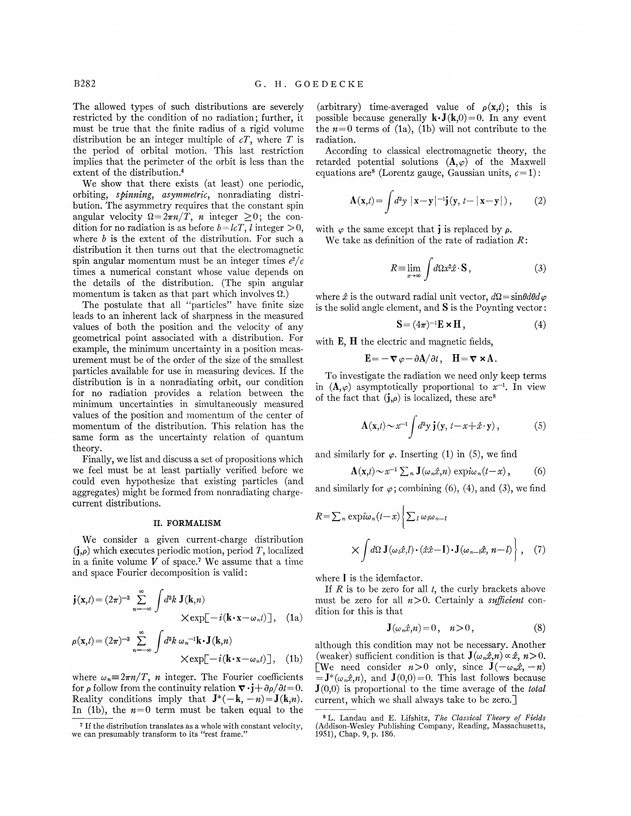The allowed types of such distributions are severely restricted by the condition of no radiation; further, it must be true that the finite radius of a rigid volume distribution be an integer multiple of  $cT$ , where T is the period of orbital motion. This last restriction implies that the perimeter of the orbit is less than the extent of the distribution.<sup>4</sup>

We show that there exists (at least) one periodic, orbiting, spinmimg, asymmetric, nonradiating distribution. The asymmetry requires that the constant spin angular velocity  $\Omega = 2\pi n / T$ , *n* integer  $\geq 0$ ; the condition for no radiation is as before  $b = lcT$ , l integer  $> 0$ , where  $b$  is the extent of the distribution. For such a distribution it then turns out that the electromagnetic spin angular momentum must be an integer times  $e^2/c$ times a numerical constant whose value depends on the details of the distribution. (The spin angular momentum is taken as that part which involves  $\Omega$ .)

The postulate that all "particles" have finite size leads to an inherent lack of sharpness in the measured values of both the position and the velocity of any geometrical point associated with a distribution. For example, the minimum uncertainty in a position measurement must be of the order of the size of the smallest particles available for use in measuring devices. If the distribution is in a nonradiating orbit, our condition for no radiation provides a relation between the minimum uncertainties in simultaneously measured values of the position and momentum of the center of momentum of the distribution. This relation has the same form as the uncertainty relation of quantum theory.

Finally, we list and discuss a set of propositions which we feel must be at least partially verified before we could even hypothesize that existing particles (and aggregates) might be formed from nonradiating chargecurrent distributions.

## II. FORMALISM

We consider a given current-charge distribution  $(j,\rho)$  which executes periodic motion, period T, localized in a finite volume  $V$  of space.<sup>7</sup> We assume that a time and space Fourier decomposition is valid:

$$
\mathbf{j}(\mathbf{x},t) = (2\pi)^{-3} \sum_{n=-\infty}^{\infty} \int d^3k \mathbf{J}(\mathbf{k},n)
$$
  
× $\exp[-i(\mathbf{k}\cdot\mathbf{x}-\omega_n t)]$ , (1a)  
 $\rho(\mathbf{x},t) = (2\pi)^{-3} \sum_{n=-\infty}^{\infty} \int d^3k \omega_n^{-1}\mathbf{k}\cdot\mathbf{J}(\mathbf{k},n)$ 

$$
\times \exp[-i(\mathbf{k}\cdot\mathbf{x}-\omega_n t)], \quad \text{(1b)}
$$

where  $\omega_n = 2\pi n/T$ , *n* integer. The Fourier coefficients for  $\rho$  follow from the continuity relation  $\nabla \cdot \mathbf{j} + \partial \rho / \partial t = 0$ . Reality conditions imply that  $J^*(-k, -n) = J(k,n)$ . In (1b), the  $n=0$  term must be taken equal to the

(arbitrary) time-averaged value of  $\rho(\mathbf{x},t)$ ; this is possible because generally  $\mathbf{k} \cdot \mathbf{J}(\mathbf{k},0) = 0$ . In any event the  $n=0$  terms of (1a), (1b) will not contribute to the radiation.

According to classical electromagnetic theory, the retarded potential solutions  $(A, \varphi)$  of the Maxwell equations are<sup>8</sup> (Lorentz gauge, Gaussian units,  $c=1$ ):

$$
\mathbf{A}(\mathbf{x},t) = \int d^3y \, |\mathbf{x} - \mathbf{y}|^{-1} \mathbf{j}(\mathbf{y}, t - |\mathbf{x} - \mathbf{y}|), \qquad (2)
$$

with  $\varphi$  the same except that **j** is replaced by  $\rho$ .

We take as definition of the rate of radiation  $R$ :

$$
R = \lim_{x \to \infty} \int d\Omega x^2 \hat{x} \cdot \mathbf{S} \,, \tag{3}
$$

where  $\hat{x}$  is the outward radial unit vector,  $d\Omega = \sin\theta d\theta d\varphi$ is the solid angle element, and S is the Poynting vector:

$$
\mathbf{S} = (4\pi)^{-1} \mathbf{E} \times \mathbf{H},\tag{4}
$$

with  $E$ ,  $H$  the electric and magnetic fields,

$$
\mathbf{E} = -\nabla \varphi - \partial \mathbf{A} / \partial t, \quad \mathbf{H} = \nabla \times \mathbf{A}.
$$

To investigate the radiation we need only keep terms in  $(A, \varphi)$  asymptotically proportional to  $x^{-1}$ . In view of the fact that  $(j,\rho)$  is localized, these are<sup>8</sup>

$$
\mathbf{A}(\mathbf{x},t) \sim x^{-1} \int d^3 y \, \mathbf{j}(\mathbf{y}, t-x+\hat{x} \cdot \mathbf{y}), \tag{5}
$$

and similarly for  $\varphi$ . Inserting (1) in (5), we find

$$
\mathbf{A}(\mathbf{x},t) \sim x^{-1} \sum_{n} \mathbf{J}(\omega_{n}\hat{x},n) \exp(i\omega_{n}(t-x)), \quad (6)
$$

and similarly for  $\varphi$ ; combining (6), (4), and (3), we find

$$
R = \sum_{n} \exp(i\omega_{n}(t-x) \left\{ \sum_{l} \omega_{l}\omega_{n-l} \right\}
$$

$$
\times \int d\Omega \mathbf{J}(\omega_{l}\hat{x},l) \cdot (\hat{x}\hat{x}-\mathbf{I}) \cdot \mathbf{J}(\omega_{n-l}\hat{x},n-l) \right\}, \quad (7)
$$

where I is the idemfactor.

If  $R$  is to be zero for all  $t$ , the curly brackets above must be zero for all  $n>0$ . Certainly a *sufficient* condition for this is that

$$
\mathbf{J}(\omega_n \hat{x}, n) = 0, \quad n > 0,
$$
\n(8)

although this condition may not be necessary. Another (weaker) sufficient condition is that  $\mathbf{J}(\omega_n\hat{x},n) \propto \hat{x}, n>0.$ [We need consider  $n>0$  only, since  $J(-\omega_n \hat{x}, -n)$  = J<sup>\*</sup>( $\omega_n \hat{x}, n$ ), and J(0,0) = 0. This last follows because  $J(0,0)$  is proportional to the time average of the *total* current, which we shall always take to be zero. $\overline{\ }$ 

<sup>&</sup>lt;sup>7</sup> If the distribution translates as a whole with constant velocity we can presumably transform to its "rest frame."

L. Landau and E. Lifshitz, The Classical Theory of Fields (Addison-Wesley Publishing Company, Reading, Massachusetts, 1951),Chap. 9, p. 186.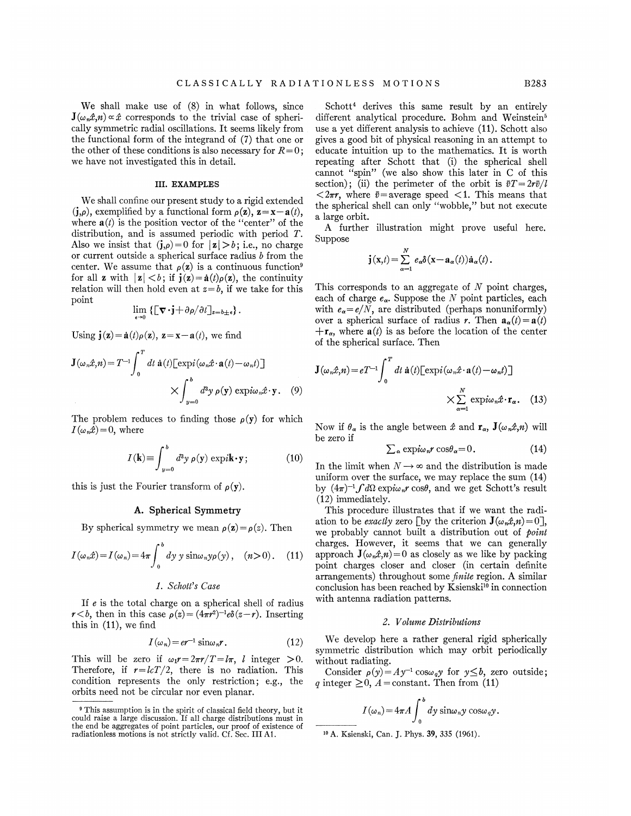We shall make use of (8) in what follows, since  $J(\omega_n x, n) \propto \hat{x}$  corresponds to the trivial case of spherically symmetric radial oscillations. It seems likely from the functional form of the integrand of (7) that one or the other of these conditions is also necessary for  $R=0$ ; we have not investigated this in detail.

### III. EXAMPLES

We shall confine our present study to a rigid extended  $(j,\rho)$ , exemplified by a functional form  $\rho(\mathbf{z})$ ,  $\mathbf{z}=\mathbf{x}-\mathbf{a}(t)$ , where  $\mathbf{a}(t)$  is the position vector of the "center" of the distribution, and is assumed periodic with period T. Also we insist that  $(j,\rho) = 0$  for  $|z| > b$ ; i.e., no charge or current outside a spherical surface radius  $b$  from the center. We assume that  $\rho(z)$  is a continuous function<sup>9</sup> for all **z** with  $|\mathbf{z}| < b$ ; if  $\mathbf{j}(\mathbf{z}) = \dot{\mathbf{a}}(t)\rho(\mathbf{z})$ , the continuity relation will then hold even at  $z = b$ , if we take for this point

$$
\lim_{\epsilon \to 0} \left\{ \left[ \nabla \cdot \mathbf{j} + \partial \rho / \partial t \right]_{z=b \pm \epsilon} \right\}.
$$

Using  $\mathbf{j}(\mathbf{z}) = \dot{\mathbf{a}}(t)\rho(\mathbf{z})$ ,  $\mathbf{z} = \mathbf{x} - \mathbf{a}(t)$ , we find

$$
\mathbf{J}(\omega_n \hat{x}, n) = T^{-1} \int_0^T dt \, \dot{\mathbf{a}}(t) \left[ \exp(i(\omega_n \hat{x} \cdot \mathbf{a}(t) - \omega_n t)) \right]
$$

$$
\times \int_{y=0}^b d^3 y \, \rho(\mathbf{y}) \, \exp(i\omega_n \hat{x} \cdot \mathbf{y}). \quad (9)
$$

The problem reduces to finding those  $\rho(y)$  for which  $I(\omega_n\hat{x})=0$ , where

$$
I(\mathbf{k}) \equiv \int_{y=0}^{b} d^{3}y \, \rho(\mathbf{y}) \, \exp i\mathbf{k} \cdot \mathbf{y}; \tag{10}
$$

this is just the Fourier transform of  $\rho(y)$ .

## A. Spherical Symmetry

By spherical symmetry we mean  $\rho(z) = \rho(z)$ . Then

$$
I(\omega_n \hat{x}) = I(\omega_n) = 4\pi \int_0^b dy \, y \sin \omega_n y \rho(y), \quad (n > 0). \quad (11)
$$

#### 1. Schott's Case

If e is the total charge on a spherical shell of radius  $r < b$ , then in this case  $\rho(z) = (4\pi r^2)^{-1} e\delta(z - r)$ . Inserting this in (11), we find

$$
I(\omega_n) = er^{-1} \sin \omega_n r. \tag{12}
$$

This will be zero if  $\omega_1 r = 2\pi r/T = l\pi$ , l integer  $>0$ . Therefore, if  $r = \frac{lcT}{2}$ , there is no radiation. This condition represents the only restriction; e.g., the orbits need not be circular nor even planar.

Schott<sup>4</sup> derives this same result by an entirely different analytical procedure. Bohm and Weinstein<sup>5</sup> use a yet different analysis to achieve (11). Schott also gives a good bit of physical reasoning in an attempt to educate intuition up to the mathematics. It is worth repeating after Schott that (i) the spherical shell cannot "spin" (we also show this later in C of this section); (ii) the perimeter of the orbit is  $\bar{v}T=2r\bar{v}/l$  $\langle 2\pi r, \text{ where } \bar{v} = \text{average speed } \langle 1. \text{ This means that }$ the spherical shell can only "wobble," but not execute a large orbit.

A further illustration might prove useful here. Suppose

$$
\mathbf{j}(\mathbf{x},t) = \sum_{\alpha=1}^N e_\alpha \delta(\mathbf{x}-\mathbf{a}_\alpha(t))\dot{\mathbf{a}}_\alpha(t).
$$

This corresponds to an aggregate of  $N$  point charges, each of charge  $e_{\alpha}$ . Suppose the  $N$  point particles, each with  $e_{\alpha} = e/N$ , are distributed (perhaps nonuniformly) over a spherical surface of radius r. Then  $\mathbf{a}_{\alpha}(t) = \mathbf{a}(t)$  $+\mathbf{r}_{\alpha}$ , where  $\mathbf{a}(t)$  is as before the location of the center of the spherical surface. Then

$$
\mathbf{J}(\omega_n \hat{x}, n) = eT^{-1} \int_0^T dt \, \mathbf{\hat{a}}(t) \left[ \exp(i(\omega_n \hat{x} \cdot \mathbf{a}(t) - \omega_n t)) \right]
$$

$$
\times \sum_{\alpha=1}^N \exp(i\omega_n \hat{x} \cdot \mathbf{r}_{\alpha}. \quad (13)
$$

Now if  $\theta_{\alpha}$  is the angle between  $\hat{x}$  and  $\mathbf{r}_{\alpha}$ ,  $\mathbf{J}(\omega_{n}\hat{x},n)$  will be zero if

$$
\sum_{\alpha} \exp{i\omega_n r} \cos\theta_{\alpha} = 0. \tag{14}
$$

In the limit when  $N \rightarrow \infty$  and the distribution is made uniform over the surface, we may replace the sum (14) by  $(4\pi)^{-1} \int d\Omega$  expin<sub>al</sub> cost, and we get Schott's result (12) immediately.

This procedure illustrates that if we want the radiation to be *exactly* zero [by the criterion  $\mathbf{J}(\omega_n\hat{x},n) = 0$ ], we probably cannot built a distribution out of point charges. However, it seems that we can generally approach  $\mathbf{J}(\omega_n\hat{x},n) = 0$  as closely as we like by packing point charges closer and closer (in certain definite arrangements) throughout some *finite* region. A similar conclusion has been reached by Ksienski<sup>10</sup> in connection with antenna radiation patterns.

#### Z. VoLume Distributions

We develop here a rather general rigid spherically symmetric distribution which may orbit periodically without radiating.

Consider  $\rho(y) = Ay^{-1} \cos \omega_q y$  for  $y \leq b$ , zero outside q integer  $\geq 0$ ,  $A = constant$ . Then from (11)

$$
I(\omega_n) = 4\pi A \int_0^b dy \sin \omega_n y \cos \omega_q y.
$$

<sup>10</sup> A. Ksienski, Can. J. Phys. **39**, 335 (1961).

<sup>&</sup>lt;sup>9</sup> This assumption is in the spirit of classical field theory, but it could raise a large discussion. If all charge distributions must in the end be aggregates of point particles, our proof of existence of radiationless motions is not strictly valid. Cf. Sec. III Ai.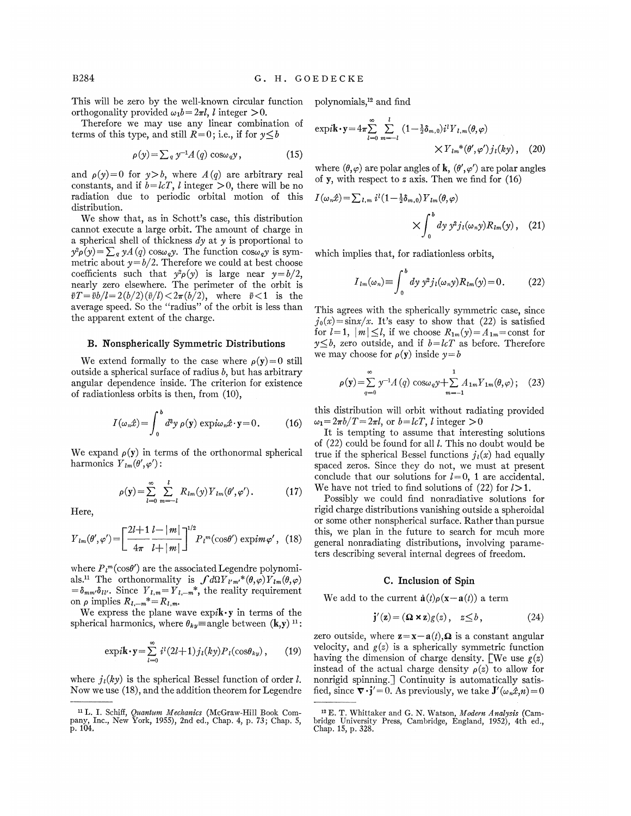This will be zero by the well-known circular function<br>orthogonality provided  $\omega_1 b = 2\pi l$ , l integer  $> 0$ .

Therefore we may use any linear combination of terms of this type, and still  $R=0$ ; i.e., if for  $y \leq b$ 

$$
\rho(y) = \sum_{q} y^{-1} A(q) \cos \omega_q y, \qquad (15)
$$

and  $\rho(\gamma)=0$  for  $\gamma>b$ , where  $A(q)$  are arbitrary real constants, and if  $b = lcT$ , l integer  $> 0$ , there will be no radiation due to periodic orbital motion of this distribution.

We show that, as in Schott's case, this distribution cannot execute a large orbit. The amount of charge in a spherical shell of thickness  $dy$  at  $y$  is proportional to  $y^2 \rho(y) = \sum_q yA(q) \cos \omega_q y$ . The function  $\cos \omega_q y$  is symmetric about  $y = b/2$ . Therefore we could at best choose coefficients such that  $y^2 \rho(y)$  is large near  $y = b/2$ , nearly zero elsewhere. The perimeter of the orbit is  $\bar{v}T=\bar{v}b/l=2(b/2)(\bar{v}/l)<2\pi(b/2)$ , where  $\bar{v}<1$  is the average speed. So the "radius" of the orbit is less than the apparent extent of the charge.

### B. Nonsyherically Symmetric Distributions

We extend formally to the case where  $\rho(y)=0$  still outside a spherical surface of radius  $b$ , but has arbitrary angular dependence inside. The criterion for existence of radiationless orbits is then, from (10),

$$
I(\omega_n \hat{x}) = \int_0^b d^3 y \, \rho(\mathbf{y}) \, \exp(i\omega_n \hat{x} \cdot \mathbf{y}) = 0. \tag{16}
$$

We expand  $\rho(y)$  in terms of the orthonormal spherical harmonics  $Y_{lm}(\theta', \varphi')$ :

$$
\rho(\mathbf{y}) = \sum_{l=0}^{\infty} \sum_{m=-l}^{l} R_{lm}(\mathbf{y}) Y_{lm}(\theta', \varphi'). \qquad (17)
$$

Here,

$$
Y_{lm}(\theta', \varphi') = \left[\frac{2l+1}{4\pi} \frac{l-|m|}{l+|m|}\right]^{1/2} P_l^{m}(\cos\theta') \exp im\varphi', \quad (18)
$$

where  $P_l^m(\cos\theta')$  are the associated Legendre polynomiwhere  $P_l^m(\cos\theta')$  are the associated Legendre polynomi-<br>als.<sup>11</sup> The orthonormality is  $\int d\Omega Y_{l'm'}^*(\theta,\varphi)Y_{lm}(\theta,\varphi)$  $=\delta_{mm'}\delta_{ll'}$ . Since  $Y_{l,m}=Y_{l,-m}^*$ , the reality requirement on  $\rho$  implies  $R_{l,-m}^* = R_{l,m}$ .

We express the plane wave  $\exp i\mathbf{k} \cdot \mathbf{y}$  in terms of the spherical harmonics, where  $\theta_{ky}$  = angle between  $(k, y)$ <sup>11</sup>:

$$
\exp i\mathbf{k} \cdot \mathbf{y} = \sum_{l=0}^{\infty} i^l (2l+1) j_l(ky) P_l(\cos \theta_{ky}), \qquad (19)
$$

where  $j_l(ky)$  is the spherical Bessel function of order l. Now we use (18), and the addition theorem for Legendre polynomials,<sup>12</sup> and find

$$
\exp i\mathbf{k} \cdot \mathbf{y} = 4\pi \sum_{l=0}^{\infty} \sum_{m=-l}^{l} (1 - \frac{1}{2} \delta_{m,0}) i^l Y_{l,m}(\theta, \varphi)
$$

$$
\times Y_{lm}{}^*(\theta', \varphi') j_l(ky) , \quad (20)
$$

where  $(\theta, \varphi)$  are polar angles of **k**,  $(\theta', \varphi')$  are polar angles of y, with respect to z axis. Then we find for  $(16)$ 

$$
I(\omega_n \hat{x}) = \sum_{l,m} i^l (1 - \frac{1}{2} \delta_{m,0}) Y_{lm}(\theta, \varphi)
$$

$$
\times \int_0^b dy \, y^2 j_l(\omega_n y) R_{lm}(y) , \quad (21)
$$

which implies that, for radiationless orbits,

$$
I_{lm}(\omega_n) \equiv \int_0^b dy \ y^2 j_l(\omega_n y) R_{lm}(y) = 0. \qquad (22)
$$

This agrees with the spherically symmetric case, since  $j_0(x) = \sin x/x$ . It's easy to show that (22) is satisfied for  $l=1$ ,  $|m| \leq l$ , if we choose  $R_{1m}(y) = A_{1m}$  = const for  $y \leq b$ , zero outside, and if  $b = kT$  as before. Therefore we may choose for  $\rho(y)$  inside  $y=b$ 

$$
\rho(\mathbf{y}) = \sum_{q=0}^{\infty} \gamma^{-1} A(q) \cos \omega_q y + \sum_{m=-1}^{1} A_{1m} Y_{1m}(\theta, \varphi); \quad (23)
$$

this distribution will orbit without radiating provided  $\omega_1 = 2\pi b/T = 2\pi l$ , or  $b = l_cT$ , l integer  $> 0$ 

It is tempting to assume that interesting solutions of  $(22)$  could be found for all l. This no doubt would be true if the spherical Bessel functions  $j_l(x)$  had equally spaced zeros. Since they do not, we must at present conclude that our solutions for  $l=0$ , 1 are accidental. We have not tried to find solutions of (22) for  $l > 1$ .

Possibly we could find nonradiative solutions for rigid charge distributions vanishing outside a spheroidal or some other nonspherical surface. Rather than pursue this, we plan in the future to search for mcuh more general nonradiating distributions, involving parameters describing several internal degrees of freedom.

### C. inclusion of Spin

We add to the current  $\dot{\mathbf{a}}(t)\rho(\mathbf{x}-\mathbf{a}(t))$  a term

$$
\mathbf{j}'(\mathbf{z}) = (\mathbf{\Omega} \times \mathbf{z})g(z), \quad z \leq b,
$$
 (24)

zero outside, where  $z=x-a(t)$ ,  $\Omega$  is a constant angular velocity, and  $g(z)$  is a spherically symmetric function having the dimension of charge density. [We use  $g(z)$ instead of the actual charge density  $\rho(z)$  to allow for nonrigid spinning. ) Continuity is automatically satisfied, since  $\nabla \cdot \mathbf{j}'=0$ . As previously, we take  $\mathbf{J}'(\omega_n\hat{x},n)=0$ 

<sup>&</sup>lt;sup>11</sup> L. I. Schiff, *Quantum Mechanics* (McGraw-Hill Book Company, Inc. , New York, 1955), 2nd ed. , Chap. 4, p. 73; Chap. 5, p. 104,

<sup>&</sup>lt;sup>12</sup> E. T. Whittaker and G. N. Watson, Modern Analysis (Cambridge University Press, Cambridge, England, 1952), 4th ed. , Chap. 15, p. 328,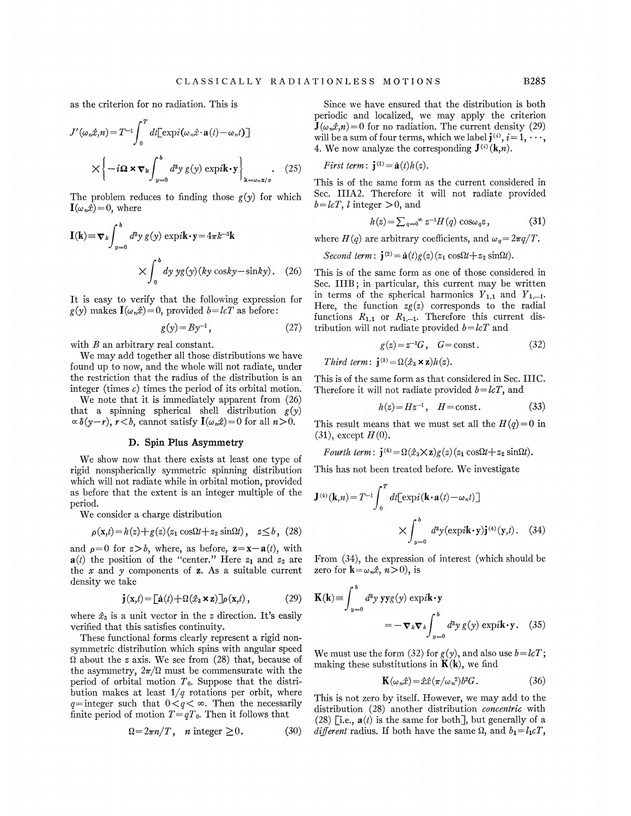as the criterion for no radiation. This is

$$
J'(\omega_n \hat{x}, n) = T^{-1} \int_0^T dt [\exp(i(\omega_n \hat{x} \cdot \mathbf{a}(t) - \omega_n t)]
$$
  
\n
$$
\times \left\{-i\Omega \times \nabla_k \int_{y=0}^b d^3y g(y) \exp i\mathbf{k} \cdot \mathbf{y}\right\}_{\mathbf{k}=\omega_n \mathbf{x}/x}
$$
  
\n
$$
(25)
$$
  
\n
$$
T
$$
  
\n
$$
T
$$
  
\n
$$
T
$$
  
\n
$$
T
$$
  
\n
$$
T
$$
  
\n
$$
T
$$
  
\n
$$
T
$$
  
\n
$$
T
$$
  
\n
$$
T
$$
  
\n
$$
T
$$
  
\n
$$
T
$$
  
\n
$$
T
$$
  
\n
$$
T
$$
  
\n
$$
T
$$
  
\n
$$
T
$$
  
\n
$$
T
$$
  
\n
$$
T
$$
  
\n
$$
T
$$
  
\n
$$
T
$$
  
\n
$$
T
$$
  
\n
$$
T
$$
  
\n
$$
T
$$
  
\n
$$
T
$$
  
\n
$$
T
$$
  
\n
$$
T
$$
  
\n
$$
T
$$
  
\n
$$
T
$$
  
\n
$$
T
$$
  
\n
$$
T
$$
  
\n
$$
T
$$
  
\n
$$
T
$$
  
\n
$$
T
$$
  
\n
$$
T
$$
  
\n
$$
T
$$
  
\n
$$
T
$$
  
\n
$$
T
$$
  
\n
$$
T
$$
  
\n
$$
T
$$
  
\n
$$
T
$$
  
\n
$$
T
$$
  
\n
$$
T
$$
  
\n
$$
T
$$
  
\n
$$
T
$$
  
\n
$$
T
$$
  
\n
$$
T
$$
  
\n
$$
T
$$
  
\n
$$
T
$$
  
\n $$ 

The problem reduces to finding those  $g(y)$  for which  $\mathbf{I}(\omega_n\hat{x})=0$ , where

$$
\mathbf{I}(\mathbf{k}) \equiv \mathbf{\nabla}_{k} \int_{y=0}^{b} d^{3}y \, g(y) \, \exp i \mathbf{k} \cdot \mathbf{y} = 4\pi k^{-3} \mathbf{k}
$$
\n
$$
\times \int_{0}^{b} dy \, yg(y) (ky \, \cos ky - \sin ky). \quad (26)
$$

It is easy to verify that the following expression for  $g(y)$  makes  $\mathbf{I}(\omega_n \hat{x})=0$ , provided  $b=lcT$  as before:

$$
g(y) = By^{-1}, \tag{27}
$$

with  $B$  an arbitrary real constant.

We may add together all those distributions we have found up to now, and the whole will not radiate, under the restriction that the radius of the distribution is an integer (times  $c$ ) times the period of its orbital motion.

We note that it is immediately apparent from (26) that a spinning spherical shell distribution  $g(y)$  $\alpha \delta(y-r)$ ,  $r < b$ , cannot satisfy  $\mathbf{I}(\omega_n \hat{x})=0$  for all  $n>0$ .

# D. Spin Plus Asymmetry

We show now that there exists at least one type of rigid nonspherically symmetric spinning distribution which will not radiate while in orbital motion, provided as before that the extent is an integer multiple of the period.

We consider a charge distribution

$$
\rho(\mathbf{x},t) = h(z) + g(z) (z_1 \cos\Omega t + z_2 \sin\Omega t), \quad z \leq b, \tag{28}
$$

and  $\rho=0$  for  $z>b$ , where, as before,  $z=x-a(t)$ , with  $a(t)$  the position of the "center." Here  $z_1$  and  $z_2$  are the  $x$  and  $y$  components of  $z$ . As a suitable current density we take

$$
\mathbf{j}(\mathbf{x},t) = [\mathbf{\dot{a}}(t) + \Omega(\hat{x}_3 \times \mathbf{z})] \rho(\mathbf{x},t), \qquad (29)
$$

where  $\hat{x}_3$  is a unit vector in the z direction. It's easily verified that this satisfies continuity.

These functional forms clearly represent a rigid nonsymmetric distribution which spins with angular speed  $\Omega$  about the *z* axis. We see from (28) that, because of the asymmetry,  $2\pi/\Omega$  must be commensurate with the period of orbital motion  $T_0$ . Suppose that the distribution makes at least  $1/q$  rotations per orbit, where q=integer such that  $0 < q < \infty$ . Then the necessarily finite period of motion  $T = qT_0$ . Then it follows that<br>  $\Omega = 2\pi n/T$ , *n* integer  $\geq 0$ . (30)

$$
\Omega = 2\pi n/T, \quad n \text{ integer } \ge 0. \tag{30}
$$

Since we have ensured that the distribution is both periodic and localized, we may apply the criterion  $J(\omega_n \hat{x},n) = 0$  for no radiation. The current density (29) will be a sum of four terms, which we label  $\mathbf{j}^{(i)}$ ,  $i=1, \cdots$ , 4. We now analyze the corresponding  $J^{(i)}(k,n)$ .

*First term*: 
$$
\mathbf{j}^{(1)} = \mathbf{a}(t)h(z)
$$
.

This is of the same form as the current considered in Sec. IIIA2. Therefore it will not radiate provided  $b = l \in T$ , *l* integer  $> 0$ , and

$$
h(z) = \sum_{q=0}^{\infty} z^{-1} H(q) \cos \omega_q z, \qquad (31)
$$

where  $H(q)$  are arbitrary coefficients, and  $\omega_q = 2\pi q/T$ .

Second term:  $\mathbf{j}^{(2)} = \dot{\mathbf{a}}(t)g(z) (z_1 \cos{\Omega t} + z_2 \sin{\Omega t}).$ 

This is of the same form as one of those considered in Sec. IIIB; in particular, this current may be written in terms of the spherical harmonics  $Y_{1,1}$  and  $Y_{1,-1}$ . Here, the function  $zg(z)$  corresponds to the radial functions  $R_{1,1}$  or  $R_{1,-1}$ . Therefore this current distribution will not radiate provided  $b = lcT$  and

$$
g(z) = z^{-1}G, \quad G = \text{const.} \tag{32}
$$

Third term:  $\mathbf{i}^{(3)} = \Omega(\hat{x}_3 \times \mathbf{z})h(z)$ .

This is of the same form as that considered in Sec.IIIC. Therefore it will not radiate provided  $b = lcT$ , and

$$
h(z) = Hz^{-1}, \quad H = \text{const.} \tag{33}
$$

This result means that we must set all the  $H(q) = 0$  in  $(31)$ , except  $H(0)$ .

$$
Fourth \ term: \mathbf{j}^{(4)} = \Omega(\hat{x}_3 \times \mathbf{z})g(z)(z_1 \cos \Omega t + z_2 \sin \Omega t).
$$

This has not been treated before. We investigate

$$
\mathbf{J}^{(4)}(\mathbf{k},n) = T^{-1} \int_0^T dt [\exp i(\mathbf{k} \cdot \mathbf{a}(t) - \omega_n t)]
$$

$$
\times \int_{y=0}^b d^3 y (\exp i\mathbf{k} \cdot \mathbf{y}) \mathbf{j}^{(4)}(\mathbf{y},t). \quad (34)
$$

From (34), the expression of interest (which should be zero for  $\mathbf{k}=\omega_n\hat{x}, n>0$ , is

$$
\mathbf{j}(\mathbf{x},t) = [\mathbf{a}(t) + \Omega(\hat{x}_3 \times \mathbf{z})] \rho(\mathbf{x},t),
$$
\n(29)  $\mathbf{K}(\mathbf{k}) \equiv \int_{y=0}^{b} d^3 y \mathbf{y} \mathbf{y} g(y) \exp(i\mathbf{k} \cdot \mathbf{y})$ \na unit vector in the *z* direction. It's easily this satisfies continuity.\n
$$
= -\nabla_k \nabla_k \int_{y=0}^{b} d^3 y \, g(y) \exp(i\mathbf{k} \cdot \mathbf{y}).
$$
\n(35)

We must use the form (32) for  $g(y)$ , and also use  $b = l cT$ ; making these substitutions in  $K(k)$ , we find

$$
\mathbf{K}(\omega_n \hat{x}) = \hat{x}\hat{x}(\pi/\omega_n^2)b^2 G.
$$
 (36)

This is not zero by itself. However, we may add to the distribution (28) another distribution *concentric* with (28) [i.e.,  $\mathbf{a}(t)$  is the same for both], but generally of a different radius. If both have the same  $\Omega$ , and  $b_1 = l_1 cT$ ,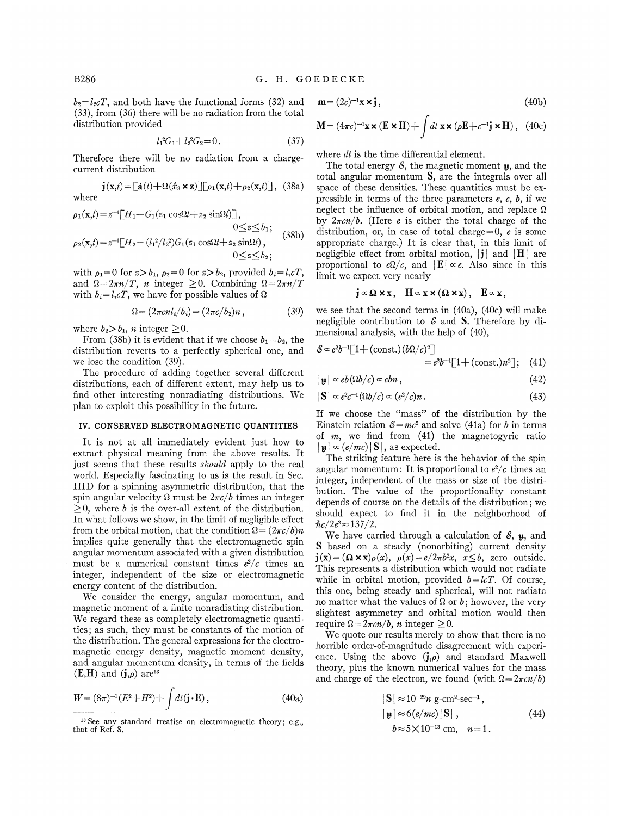$b_2=l_2cT$ , and both have the functional forms (32) and (33), from (36) there will be no radiation from the total distribution provided

$$
l_1^2 G_1 + l_2^2 G_2 = 0. \tag{37}
$$

Therefore there will be no radiation from a chargecurrent distribution

 $\mathbf{j}(\mathbf{x},t) = [\mathbf{a}(t) + \Omega(\hat{x}_3 \times \mathbf{z})] [\rho_1(\mathbf{x},t) + \rho_2(\mathbf{x},t)]$ , (38a) where

$$
\rho_1(\mathbf{x},t) = z^{-1} [H_1 + G_1(z_1 \cos\Omega t + z_2 \sin\Omega t)],
$$
  
\n
$$
0 \le z \le b_1;
$$
  
\n
$$
\rho_2(\mathbf{x},t) = z^{-1} [H_2 - (l_1^2/l_2^2)G_1(z_1 \cos\Omega t + z_2 \sin\Omega t),
$$
  
\n
$$
0 \le z \le b_2;
$$
  
\n(38b)

with  $\rho_1=0$  for  $z>b_1$ ,  $\rho_2=0$  for  $z>b_2$ , provided  $b_i=l_i cT_i$ and  $\Omega = 2\pi n/T$ , *n* integer  $\geq 0$ . Combining  $\Omega = 2\pi n/T$ with  $b_i = l_i cT$ , we have for possible values of  $\Omega$ 

$$
\Omega = (2\pi c n l_i/b_i) = (2\pi c/b_2)n , \qquad (39)
$$

where  $b_2 > b_1$ , *n* integer  $\geq 0$ .

From (38b) it is evident that if we choose  $b_1 = b_2$ , the distribution reverts to a perfectly spherical one, and we lose the condition (39).

The procedure of adding together several different distributions, each of different extent, may help us to find other interesting nonradiating distributions. We plan to exploit this possibility in the future.

## IV. CONSERVED ELECTROMAGNETIC QUANTITIES

It is not at all immediately evident just how to extract physical meaning from the above results. It just seems that these results *should* apply to the real world. Especially fascinating to us is the result in Sec. IIID for a spinning asymmetric distribution, that the spin angular velocity  $\Omega$  must be  $2\pi c/b$  times an integer  $\geq 0$ , where b is the over-all extent of the distribution. In what follows we show, in the limit of negligible effect from the orbital motion, that the condition  $\Omega = (2\pi c/b)n$ implies quite generally that the electromagnetic spin angular momentum associated with a given distribution must be a numerical constant times  $e^2/c$  times an integer, independent of the size or electromagnetic energy content of the distribution.

We consider the energy, angular momentum, and magnetic moment of a finite nonradiating distribution. We regard these as completely electromagnetic quantities; as such, they must be constants of the motion of the distribution. The general expressions for the electromagnetic energy density, magnetic moment density, and angular momentum density, in terms of the fields  $(E,H)$  and  $(j,\rho)$  are<sup>13</sup>

$$
W = (8\pi)^{-1}(E^2 + H^2) + \int dt (\mathbf{j} \cdot \mathbf{E}), \qquad (40a)
$$

$$
\mathbf{m} = (2c)^{-1}\mathbf{x} \times \mathbf{j},\tag{40b}
$$

$$
\mathbf{M} = (4\pi c)^{-1} \mathbf{x} \times (\mathbf{E} \times \mathbf{H}) + \int dt \mathbf{x} \times (\rho \mathbf{E} + c^{-1} \mathbf{j} \times \mathbf{H}), \quad (40c)
$$

where  $dt$  is the time differential element.

The total energy  $\mathcal{E}$ , the magnetic moment  $\mu$ , and the total angular momentum S, are the integrals over all space of these densities. These quantities must be expressible in terms of the three parameters  $e, c, b$ , if we neglect the influence of orbital motion, and replace  $\Omega$ by  $2\pi c n/b$ . (Here *e* is either the total charge of the distribution, or, in case of total charge=0,  $\vec{e}$  is some appropriate charge.) It is clear that, in this limit of negligible effect from orbital motion,  $|\mathbf{j}|$  and  $|\mathbf{H}|$  are proportional to  $e\Omega/c$ , and  $|\mathbf{E}| \propto e$ . Also since in this limit we expect very nearly

$$
j \propto \Omega \times x
$$
,  $H \propto x \times (\Omega \times x)$ ,  $E \propto x$ ,

we see that the second terms in (40a), (40c) will make negligible contribution to  $\mathcal S$  and S. Therefore by dimensional analysis, with the help of (40),

$$
\mathcal{E} \propto e^{2} b^{-1} \left[ 1 + (\text{const.})(b\Omega/c)^{2} \right]
$$
  
= 
$$
e^{2} b^{-1} \left[ 1 + (\text{const.})n^{2} \right]; \quad (41)
$$

$$
|\mathbf{u}| \propto eb(\Omega b/c) \propto ebn\,,\tag{42}
$$

$$
|\mathbf{S}| \propto e^2 c^{-1} (\Omega b/c) \propto (e^2/c)n. \tag{43}
$$

If we choose the "mass" of the distribution by the Einstein relation  $\mathcal{E}=mc^2$  and solve (41a) for b in terms of  $m$ , we find from  $(41)$  the magnetogyric ratio  $|\mathbf{u}| \propto (e/mc) |\mathbf{S}|$ , as expected.

The striking feature here is the behavior of the spin angular momentum: It is proportional to  $e^2/c$  times an integer, independent of the mass or size of the distribution. The value of the proportionality constant depends of course on the details of the distribution; we should expect to find it in the neighborhood of  $\hbar c/2e^2 \approx 137/2$ .

We have carried through a calculation of  $\mathcal{E}$ ,  $\mu$ , and S based on a steady (nonorbiting) current density  $\mathbf{j}(\mathbf{x}) = (\mathbf{\Omega} \times \mathbf{x})\rho(x), \ \rho(x) = e/2\pi b^2 x, \ x \leq b$ , zero outside. This represents a distribution which would not radiate while in orbital motion, provided  $b = l \in \mathcal{C}$ . Of course, this one, being steady and spherical, will not radiate no matter what the values of  $\Omega$  or  $b$ ; however, the very slightest asynnnetry and orbital motion would then require  $\Omega = 2\pi c n/b$ , *n* integer > 0.

We quote our results merely to show that there is no horrible order-of-magnitude disagreement with experience. Using the above  $(j,\rho)$  and standard Maxwell theory, plus the known numerical values for the mass and charge of the electron, we found (with  $\Omega = 2\pi c n/b$ )

$$
|\mathbf{S}| \approx 10^{-29} n \text{ g-cm}^2 \text{sec}^{-1},
$$
  
\n
$$
|\mathbf{u}| \approx 6(e/mc)|\mathbf{S}|,
$$
  
\n
$$
b \approx 5 \times 10^{-13} \text{ cm}, \quad n=1.
$$
 (44)

 $13$  See any standard treatise on electromagnetic theory; e.g., that of Ref. 8.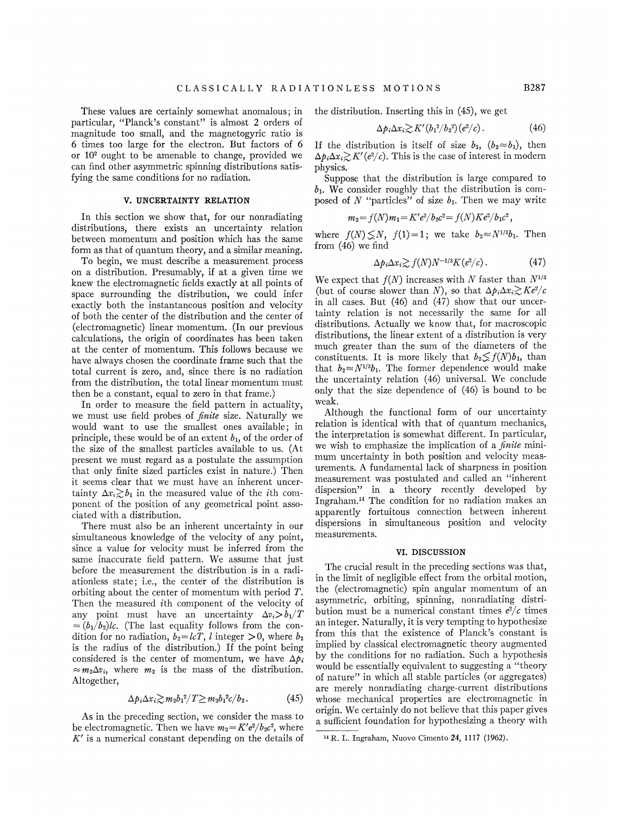These values are certainly somewhat anomalous; in particular, "Planck's constant" is almost 2 orders of magnitude too small, and the magnetogyric ratio is 6 times too large for the electron. But factors of 6 or 10' ought to be amenable to change, provided we can find other asymmetric spinning distributions satisfying the same conditions for no radiation.

### V. UNCERTAINTY RELATION

In this section we show that, for our nonradiating distributions, there exists an uncertainty relation between momentum and position which has the same form as that of quantum theory, and a similar meaning.

To begin, we must describe a measurement process on a distribution. Presumably, if at a given time we knew the electromagnetic fields exactly at all points of space surrounding the distribution, we could infer exactly both the instantaneous position and velocity of both the center of the distribution and the center of (electromagnetic) linear momentum. (In our previous calculations, the origin of coordinates has been taken at the center of momentum. This follows because we have always chosen the coordinate frame such that the total current is zero, and, since there is no radiation from the distribution, the total linear momentum must then be a constant, equal to zero in that frame. )

In order to measure the field pattern in actuality, we must use field probes of *finite* size. Naturally we would want to use the smallest ones available; in principle, these would be of an extent  $b_1$ , of the order of the size of the smallest particles available to us. (At present we must regard as a postulate the assumption that only finite sized particles exist in nature.) Then it seems clear that we must have an inherent uncertainty  $\Delta x_i \gtrsim b_1$  in the measured value of the *i*th component of the position of any geometrical point associated with a distribution.

There must also be an inherent uncertainty in our simultaneous knowledge of the velocity of any point, since a value for velocity must be inferred from the same inaccurate field pattern. We assume that just before the measurement the distribution is in a radiationless state; i.e., the center of the distribution is orbiting about the center of momentum with period T. Then the measured ith component of the velocity of any point must have an uncertainty  $\Delta v_i > b_1/T$  $=(b_1/b_2)lc$ . (The last equality follows from the condition for no radiation,  $b_2 = lcT$ , *l* integer >0, where  $b_2$ is the radius of the distribution.) If the point being considered is the center of momentum, we have  $\Delta p_i$  $\approx m_2 \Delta v_i$ , where  $m_2$  is the mass of the distribution. Altogether,

$$
\Delta p_i \Delta x_i \gtrsim m_2 b_1^2 / T \geq m_2 b_1^2 c / b_2. \tag{45}
$$

As in the preceding section, we consider the mass to be electromagnetic. Then we have  $m_2 = K'e^2/b_2c^2$ , where  $K'$  is a numerical constant depending on the details of the distribution. Inserting this in (45), we get

$$
\Delta p_i \Delta x_i \gtrsim K'(b_1^2/b_2^2)(e^2/c). \tag{46}
$$

If the distribution is itself of size  $b_1$ ,  $(b_2 \approx b_1)$ , then  $\Delta p_i \Delta x_i \gtrsim K'(e^2/c)$ . This is the case of interest in modern physics.

Suppose that the distribution is large compared to  $b_1$ . We consider roughly that the distribution is composed of N "particles" of size  $b_1$ . Then we may write

$$
m_2 = f(N)m_1 = K'e^2/b_2c^2 = f(N)Ke^2/b_1c^2,
$$

where  $f(N) \leq N$ ,  $f(1)=1$ ; we take  $b_2 \approx N^{1/3}b_1$ . Then from (46) we find

$$
\Delta p_i \Delta x_i \gtrsim f(N) N^{-1/3} K(e^2/c). \tag{47}
$$

We expect that  $f(N)$  increases with N faster than  $N^{1/3}$ (but of course slower than N), so that  $\Delta p_i \Delta x_i \gtrsim Ke^2/c$ in all cases. But (46) and (47) show that our uncertainty relation is not necessarily the same for all distributions. Actually we know that, for macroscopic distributions, the linear extent of a distribution is very much greater than the sum of the diameters of the constituents. It is more likely that  $b_2 \leq f(N)b_1$ , than that  $b_2 \approx N^{1/3}b_1$ . The former dependence would make the uncertainty relation (46) universal. We conclude only that the size dependence of (46) is bound to be weak.

Although the functional form of our uncertainty relation is identical with that of quantum mechanics, the interpretation is somewhat different. In particular, we wish to emphasize the implication of a  $\hat{p}$  *finite* minimum uncertainty in both position and velocity measurements. A fundamental lack of sharpness in position measurement was postulated and called an "inherent dispersion" in a theory recently developed by dispersion" in a theory recently developed by<br>Ingraham.<sup>14</sup> The condition for no radiation makes an apparently fortuitous connection between inherent dispersions in simultaneous position and velocity measurements.

#### VI. DISCUSSION

The crucial result in the preceding sections was that, in the limit of negligible effect from the orbital motion, the (electromagnetic) spin angular momentum of an asymmetric, orbiting, spinning, nonradiating distribution must be a numerical constant times  $e^2/c$  times an integer. Naturally, it is very tempting to hypothesize from this that the existence of Planck's constant is implied by classical electromagnetic theory augmented by the conditions for no radiation. Such a hypothesis would be essentially equivalent to suggesting a "theory of nature" in which all stable particles (or aggregates) are merely nonradiating charge-current distributions whose mechanical properties are electromagnetic in origin. We certainly do not believe that this paper gives a sufficient foundation for hypothesizing a theory with

<sup>&</sup>lt;sup>14</sup> R. L. Ingraham, Nuovo Cimento 24, 1117 (1962).